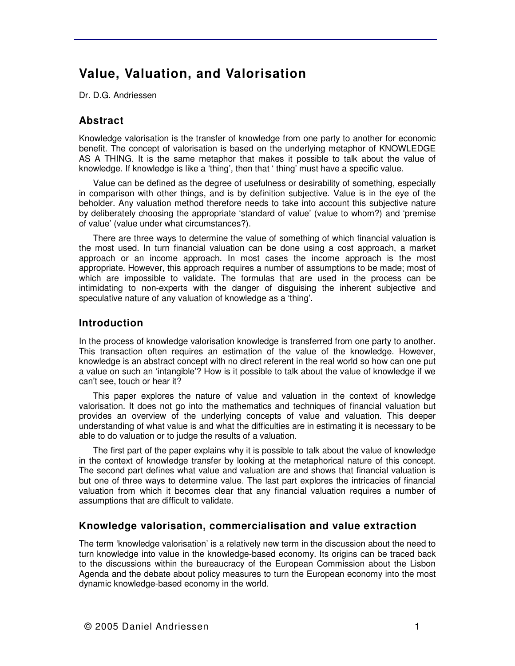# **Value, Valuation, and Valorisation**

Dr. D.G. Andriessen

# **Abstract**

Knowledge valorisation is the transfer of knowledge from one party to another for economic benefit. The concept of valorisation is based on the underlying metaphor of KNOWLEDGE AS A THING. It is the same metaphor that makes it possible to talk about the value of knowledge. If knowledge is like a 'thing', then that ' thing' must have a specific value.

Value can be defined as the degree of usefulness or desirability of something, especially in comparison with other things, and is by definition subjective. Value is in the eye of the beholder. Any valuation method therefore needs to take into account this subjective nature by deliberately choosing the appropriate 'standard of value' (value to whom?) and 'premise of value' (value under what circumstances?).

There are three ways to determine the value of something of which financial valuation is the most used. In turn financial valuation can be done using a cost approach, a market approach or an income approach. In most cases the income approach is the most appropriate. However, this approach requires a number of assumptions to be made; most of which are impossible to validate. The formulas that are used in the process can be intimidating to non-experts with the danger of disguising the inherent subjective and speculative nature of any valuation of knowledge as a 'thing'.

## **Introduction**

In the process of knowledge valorisation knowledge is transferred from one party to another. This transaction often requires an estimation of the value of the knowledge. However, knowledge is an abstract concept with no direct referent in the real world so how can one put a value on such an 'intangible'? How is it possible to talk about the value of knowledge if we can't see, touch or hear it?

This paper explores the nature of value and valuation in the context of knowledge valorisation. It does not go into the mathematics and techniques of financial valuation but provides an overview of the underlying concepts of value and valuation. This deeper understanding of what value is and what the difficulties are in estimating it is necessary to be able to do valuation or to judge the results of a valuation.

The first part of the paper explains why it is possible to talk about the value of knowledge in the context of knowledge transfer by looking at the metaphorical nature of this concept. The second part defines what value and valuation are and shows that financial valuation is but one of three ways to determine value. The last part explores the intricacies of financial valuation from which it becomes clear that any financial valuation requires a number of assumptions that are difficult to validate.

# **Knowledge valorisation, commercialisation and value extraction**

The term 'knowledge valorisation' is a relatively new term in the discussion about the need to turn knowledge into value in the knowledge-based economy. Its origins can be traced back to the discussions within the bureaucracy of the European Commission about the Lisbon Agenda and the debate about policy measures to turn the European economy into the most dynamic knowledge-based economy in the world.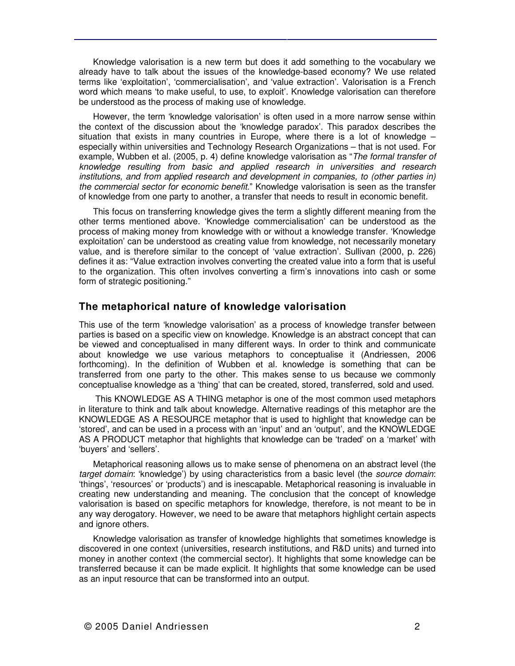Knowledge valorisation is a new term but does it add something to the vocabulary we already have to talk about the issues of the knowledge-based economy? We use related terms like 'exploitation', 'commercialisation', and 'value extraction'. Valorisation is a French word which means 'to make useful, to use, to exploit'. Knowledge valorisation can therefore be understood as the process of making use of knowledge.

However, the term 'knowledge valorisation' is often used in a more narrow sense within the context of the discussion about the 'knowledge paradox'. This paradox describes the situation that exists in many countries in Europe, where there is a lot of knowledge – especially within universities and Technology Research Organizations – that is not used. For example, Wubben et al. (2005, p. 4) define knowledge valorisation as "*The formal transfer of knowledge resulting from basic and applied research in universities and research institutions, and from applied research and development in companies, to (other parties in) the commercial sector for economic benefit*." Knowledge valorisation is seen as the transfer of knowledge from one party to another, a transfer that needs to result in economic benefit.

This focus on transferring knowledge gives the term a slightly different meaning from the other terms mentioned above. 'Knowledge commercialisation' can be understood as the process of making money from knowledge with or without a knowledge transfer. 'Knowledge exploitation' can be understood as creating value from knowledge, not necessarily monetary value, and is therefore similar to the concept of 'value extraction'. Sullivan (2000, p. 226) defines it as: "Value extraction involves converting the created value into a form that is useful to the organization. This often involves converting a firm's innovations into cash or some form of strategic positioning."

#### **The metaphorical nature of knowledge valorisation**

This use of the term 'knowledge valorisation' as a process of knowledge transfer between parties is based on a specific view on knowledge. Knowledge is an abstract concept that can be viewed and conceptualised in many different ways. In order to think and communicate about knowledge we use various metaphors to conceptualise it (Andriessen, 2006 forthcoming). In the definition of Wubben et al. knowledge is something that can be transferred from one party to the other. This makes sense to us because we commonly conceptualise knowledge as a 'thing' that can be created, stored, transferred, sold and used.

This KNOWLEDGE AS A THING metaphor is one of the most common used metaphors in literature to think and talk about knowledge. Alternative readings of this metaphor are the KNOWLEDGE AS A RESOURCE metaphor that is used to highlight that knowledge can be 'stored', and can be used in a process with an 'input' and an 'output', and the KNOWLEDGE AS A PRODUCT metaphor that highlights that knowledge can be 'traded' on a 'market' with 'buyers' and 'sellers'.

Metaphorical reasoning allows us to make sense of phenomena on an abstract level (the *target domain*: 'knowledge') by using characteristics from a basic level (the *source domain*: 'things', 'resources' or 'products') and is inescapable. Metaphorical reasoning is invaluable in creating new understanding and meaning. The conclusion that the concept of knowledge valorisation is based on specific metaphors for knowledge, therefore, is not meant to be in any way derogatory. However, we need to be aware that metaphors highlight certain aspects and ignore others.

Knowledge valorisation as transfer of knowledge highlights that sometimes knowledge is discovered in one context (universities, research institutions, and R&D units) and turned into money in another context (the commercial sector). It highlights that some knowledge can be transferred because it can be made explicit. It highlights that some knowledge can be used as an input resource that can be transformed into an output.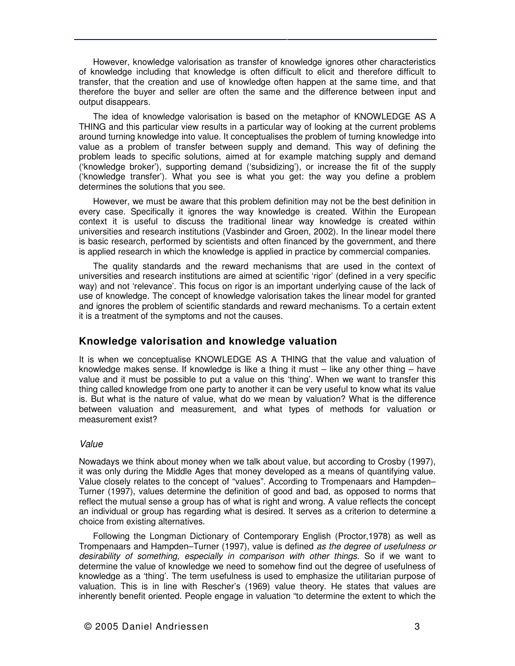However, knowledge valorisation as transfer of knowledge ignores other characteristics of knowledge including that knowledge is often difficult to elicit and therefore difficult to transfer, that the creation and use of knowledge often happen at the same time, and that therefore the buyer and seller are often the same and the difference between input and output disappears.

The idea of knowledge valorisation is based on the metaphor of KNOWLEDGE AS A THING and this particular view results in a particular way of looking at the current problems around turning knowledge into value. It conceptualises the problem of turning knowledge into value as a problem of transfer between supply and demand. This way of defining the problem leads to specific solutions, aimed at for example matching supply and demand ('knowledge broker'), supporting demand ('subsidizing'), or increase the fit of the supply ('knowledge transfer'). What you see is what you get: the way you define a problem determines the solutions that you see.

However, we must be aware that this problem definition may not be the best definition in every case. Specifically it ignores the way knowledge is created. Within the European context it is useful to discuss the traditional linear way knowledge is created within universities and research institutions (Vasbinder and Groen, 2002). In the linear model there is basic research, performed by scientists and often financed by the government, and there is applied research in which the knowledge is applied in practice by commercial companies.

The quality standards and the reward mechanisms that are used in the context of universities and research institutions are aimed at scientific 'rigor' (defined in a very specific way) and not 'relevance'. This focus on rigor is an important underlying cause of the lack of use of knowledge. The concept of knowledge valorisation takes the linear model for granted and ignores the problem of scientific standards and reward mechanisms. To a certain extent it is a treatment of the symptoms and not the causes.

# **Knowledge valorisation and knowledge valuation**

It is when we conceptualise KNOWLEDGE AS A THING that the value and valuation of knowledge makes sense. If knowledge is like a thing it must – like any other thing – have value and it must be possible to put a value on this 'thing'. When we want to transfer this thing called knowledge from one party to another it can be very useful to know what its value is. But what is the nature of value, what do we mean by valuation? What is the difference between valuation and measurement, and what types of methods for valuation or measurement exist?

#### *Value*

Nowadays we think about money when we talk about value, but according to Crosby (1997), it was only during the Middle Ages that money developed as a means of quantifying value. Value closely relates to the concept of "values". According to Trompenaars and Hampden– Turner (1997), values determine the definition of good and bad, as opposed to norms that reflect the mutual sense a group has of what is right and wrong. A value reflects the concept an individual or group has regarding what is desired. It serves as a criterion to determine a choice from existing alternatives.

Following the Longman Dictionary of Contemporary English (Proctor,1978) as well as Trompenaars and Hampden–Turner (1997), value is defined *as the degree of usefulness or desirability of something, especially in comparison with other things*. So if we want to determine the value of knowledge we need to somehow find out the degree of usefulness of knowledge as a 'thing'. The term usefulness is used to emphasize the utilitarian purpose of valuation. This is in line with Rescher's (1969) value theory. He states that values are inherently benefit oriented. People engage in valuation "to determine the extent to which the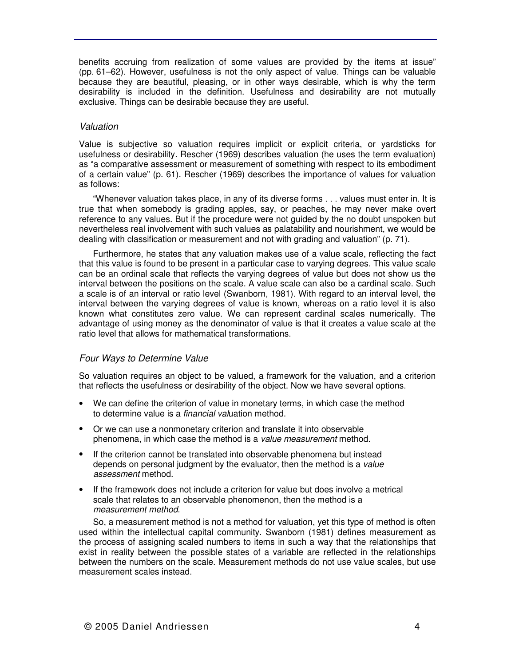benefits accruing from realization of some values are provided by the items at issue" (pp. 61–62). However, usefulness is not the only aspect of value. Things can be valuable because they are beautiful, pleasing, or in other ways desirable, which is why the term desirability is included in the definition. Usefulness and desirability are not mutually exclusive. Things can be desirable because they are useful.

### *Valuation*

Value is subjective so valuation requires implicit or explicit criteria, or yardsticks for usefulness or desirability. Rescher (1969) describes valuation (he uses the term evaluation) as "a comparative assessment or measurement of something with respect to its embodiment of a certain value" (p. 61). Rescher (1969) describes the importance of values for valuation as follows:

"Whenever valuation takes place, in any of its diverse forms . . . values must enter in. It is true that when somebody is grading apples, say, or peaches, he may never make overt reference to any values. But if the procedure were not guided by the no doubt unspoken but nevertheless real involvement with such values as palatability and nourishment, we would be dealing with classification or measurement and not with grading and valuation" (p. 71).

Furthermore, he states that any valuation makes use of a value scale, reflecting the fact that this value is found to be present in a particular case to varying degrees. This value scale can be an ordinal scale that reflects the varying degrees of value but does not show us the interval between the positions on the scale. A value scale can also be a cardinal scale. Such a scale is of an interval or ratio level (Swanborn, 1981). With regard to an interval level, the interval between the varying degrees of value is known, whereas on a ratio level it is also known what constitutes zero value. We can represent cardinal scales numerically. The advantage of using money as the denominator of value is that it creates a value scale at the ratio level that allows for mathematical transformations.

### *Four Ways to Determine Value*

So valuation requires an object to be valued, a framework for the valuation, and a criterion that reflects the usefulness or desirability of the object. Now we have several options.

- We can define the criterion of value in monetary terms, in which case the method to determine value is a *financial val*uation method.
- Or we can use a nonmonetary criterion and translate it into observable phenomena, in which case the method is a *value measurement* method.
- If the criterion cannot be translated into observable phenomena but instead depends on personal judgment by the evaluator, then the method is a *value assessment* method.
- If the framework does not include a criterion for value but does involve a metrical scale that relates to an observable phenomenon, then the method is a *measurement method*.

So, a measurement method is not a method for valuation, yet this type of method is often used within the intellectual capital community. Swanborn (1981) defines measurement as the process of assigning scaled numbers to items in such a way that the relationships that exist in reality between the possible states of a variable are reflected in the relationships between the numbers on the scale. Measurement methods do not use value scales, but use measurement scales instead.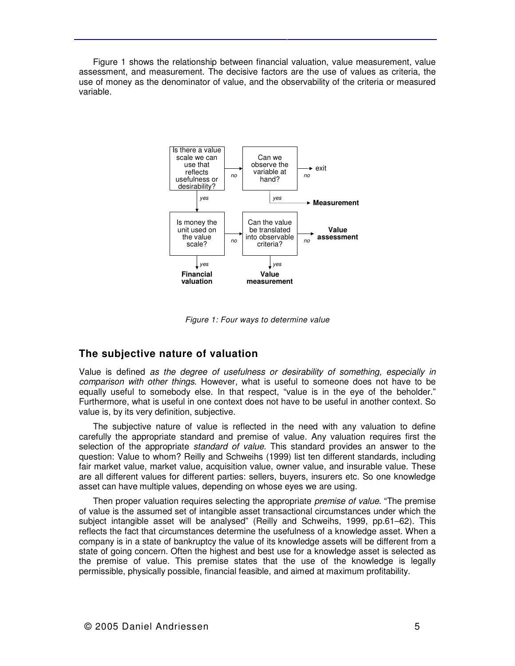Figure 1 shows the relationship between financial valuation, value measurement, value assessment, and measurement. The decisive factors are the use of values as criteria, the use of money as the denominator of value, and the observability of the criteria or measured variable.



*Figure 1: Four ways to determine value*

## **The subjective nature of valuation**

Value is defined *as the degree of usefulness or desirability of something, especially in comparison with other things*. However, what is useful to someone does not have to be equally useful to somebody else. In that respect, "value is in the eye of the beholder." Furthermore, what is useful in one context does not have to be useful in another context. So value is, by its very definition, subjective.

The subjective nature of value is reflected in the need with any valuation to define carefully the appropriate standard and premise of value. Any valuation requires first the selection of the appropriate *standard of value*. This standard provides an answer to the question: Value to whom? Reilly and Schweihs (1999) list ten different standards, including fair market value, market value, acquisition value, owner value, and insurable value. These are all different values for different parties: sellers, buyers, insurers etc. So one knowledge asset can have multiple values, depending on whose eyes we are using.

Then proper valuation requires selecting the appropriate *premise of value*. "The premise of value is the assumed set of intangible asset transactional circumstances under which the subject intangible asset will be analysed" (Reilly and Schweihs, 1999, pp.61–62). This reflects the fact that circumstances determine the usefulness of a knowledge asset. When a company is in a state of bankruptcy the value of its knowledge assets will be different from a state of going concern. Often the highest and best use for a knowledge asset is selected as the premise of value. This premise states that the use of the knowledge is legally permissible, physically possible, financial feasible, and aimed at maximum profitability.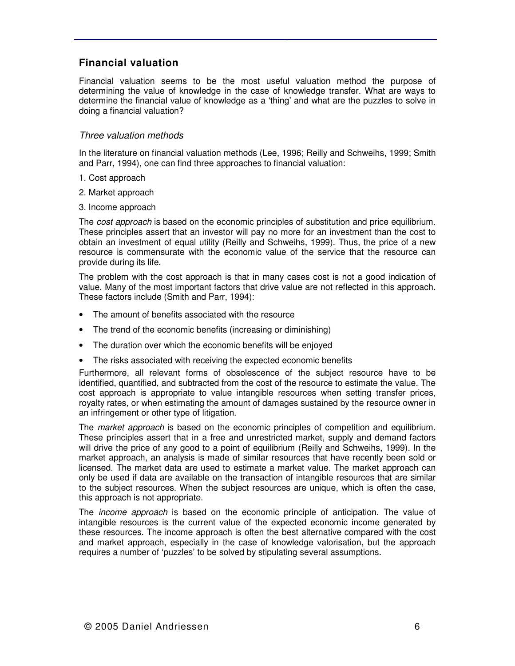# **Financial valuation**

Financial valuation seems to be the most useful valuation method the purpose of determining the value of knowledge in the case of knowledge transfer. What are ways to determine the financial value of knowledge as a 'thing' and what are the puzzles to solve in doing a financial valuation?

## *Three valuation methods*

In the literature on financial valuation methods (Lee, 1996; Reilly and Schweihs, 1999; Smith and Parr, 1994), one can find three approaches to financial valuation:

- 1. Cost approach
- 2. Market approach
- 3. Income approach

The *cost approach* is based on the economic principles of substitution and price equilibrium. These principles assert that an investor will pay no more for an investment than the cost to obtain an investment of equal utility (Reilly and Schweihs, 1999). Thus, the price of a new resource is commensurate with the economic value of the service that the resource can provide during its life.

The problem with the cost approach is that in many cases cost is not a good indication of value. Many of the most important factors that drive value are not reflected in this approach. These factors include (Smith and Parr, 1994):

- The amount of benefits associated with the resource
- The trend of the economic benefits (increasing or diminishing)
- The duration over which the economic benefits will be enjoyed
- The risks associated with receiving the expected economic benefits

Furthermore, all relevant forms of obsolescence of the subject resource have to be identified, quantified, and subtracted from the cost of the resource to estimate the value. The cost approach is appropriate to value intangible resources when setting transfer prices, royalty rates, or when estimating the amount of damages sustained by the resource owner in an infringement or other type of litigation.

The *market approach* is based on the economic principles of competition and equilibrium. These principles assert that in a free and unrestricted market, supply and demand factors will drive the price of any good to a point of equilibrium (Reilly and Schweihs, 1999). In the market approach, an analysis is made of similar resources that have recently been sold or licensed. The market data are used to estimate a market value. The market approach can only be used if data are available on the transaction of intangible resources that are similar to the subject resources. When the subject resources are unique, which is often the case, this approach is not appropriate.

The *income approach* is based on the economic principle of anticipation. The value of intangible resources is the current value of the expected economic income generated by these resources. The income approach is often the best alternative compared with the cost and market approach, especially in the case of knowledge valorisation, but the approach requires a number of 'puzzles' to be solved by stipulating several assumptions.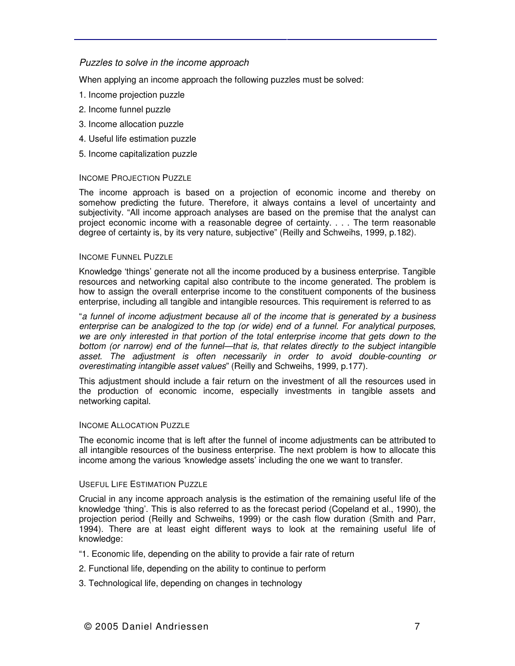## *Puzzles to solve in the income approach*

When applying an income approach the following puzzles must be solved:

- 1. Income projection puzzle
- 2. Income funnel puzzle
- 3. Income allocation puzzle
- 4. Useful life estimation puzzle
- 5. Income capitalization puzzle

#### INCOME PROJECTION PUZZLE

The income approach is based on a projection of economic income and thereby on somehow predicting the future. Therefore, it always contains a level of uncertainty and subjectivity. "All income approach analyses are based on the premise that the analyst can project economic income with a reasonable degree of certainty. . . . The term reasonable degree of certainty is, by its very nature, subjective" (Reilly and Schweihs, 1999, p.182).

#### INCOME FUNNEL PUZZLE

Knowledge 'things' generate not all the income produced by a business enterprise. Tangible resources and networking capital also contribute to the income generated. The problem is how to assign the overall enterprise income to the constituent components of the business enterprise, including all tangible and intangible resources. This requirement is referred to as

"*a funnel of income adjustment because all of the income that is generated by a business enterprise can be analogized to the top (or wide) end of a funnel. For analytical purposes, we are only interested in that portion of the total enterprise income that gets down to the bottom (or narrow) end of the funnel—that is, that relates directly to the subject intangible asset. The adjustment is often necessarily in order to avoid double-counting or overestimating intangible asset values*" (Reilly and Schweihs, 1999, p.177).

This adjustment should include a fair return on the investment of all the resources used in the production of economic income, especially investments in tangible assets and networking capital.

#### INCOME ALLOCATION PUZZLE

The economic income that is left after the funnel of income adjustments can be attributed to all intangible resources of the business enterprise. The next problem is how to allocate this income among the various 'knowledge assets' including the one we want to transfer.

#### USEFUL LIFE ESTIMATION PUZZLE

Crucial in any income approach analysis is the estimation of the remaining useful life of the knowledge 'thing'. This is also referred to as the forecast period (Copeland et al., 1990), the projection period (Reilly and Schweihs, 1999) or the cash flow duration (Smith and Parr, 1994). There are at least eight different ways to look at the remaining useful life of knowledge:

- "1. Economic life, depending on the ability to provide a fair rate of return
- 2. Functional life, depending on the ability to continue to perform
- 3. Technological life, depending on changes in technology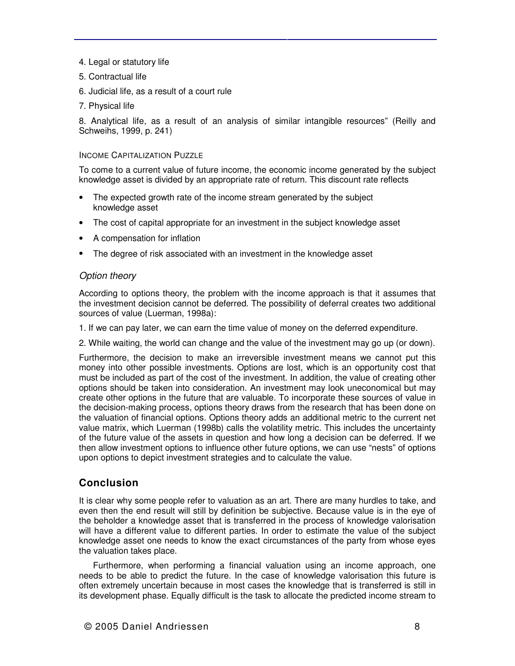- 4. Legal or statutory life
- 5. Contractual life
- 6. Judicial life, as a result of a court rule
- 7. Physical life

8. Analytical life, as a result of an analysis of similar intangible resources" (Reilly and Schweihs, 1999, p. 241)

#### INCOME CAPITALIZATION PUZZLE

To come to a current value of future income, the economic income generated by the subject knowledge asset is divided by an appropriate rate of return. This discount rate reflects

- The expected growth rate of the income stream generated by the subject knowledge asset
- The cost of capital appropriate for an investment in the subject knowledge asset
- A compensation for inflation
- The degree of risk associated with an investment in the knowledge asset

### *Option theory*

According to options theory, the problem with the income approach is that it assumes that the investment decision cannot be deferred. The possibility of deferral creates two additional sources of value (Luerman, 1998a):

- 1. If we can pay later, we can earn the time value of money on the deferred expenditure.
- 2. While waiting, the world can change and the value of the investment may go up (or down).

Furthermore, the decision to make an irreversible investment means we cannot put this money into other possible investments. Options are lost, which is an opportunity cost that must be included as part of the cost of the investment. In addition, the value of creating other options should be taken into consideration. An investment may look uneconomical but may create other options in the future that are valuable. To incorporate these sources of value in the decision-making process, options theory draws from the research that has been done on the valuation of financial options. Options theory adds an additional metric to the current net value matrix, which Luerman (1998b) calls the volatility metric. This includes the uncertainty of the future value of the assets in question and how long a decision can be deferred. If we then allow investment options to influence other future options, we can use "nests" of options upon options to depict investment strategies and to calculate the value.

# **Conclusion**

It is clear why some people refer to valuation as an art. There are many hurdles to take, and even then the end result will still by definition be subjective. Because value is in the eye of the beholder a knowledge asset that is transferred in the process of knowledge valorisation will have a different value to different parties. In order to estimate the value of the subject knowledge asset one needs to know the exact circumstances of the party from whose eyes the valuation takes place.

Furthermore, when performing a financial valuation using an income approach, one needs to be able to predict the future. In the case of knowledge valorisation this future is often extremely uncertain because in most cases the knowledge that is transferred is still in its development phase. Equally difficult is the task to allocate the predicted income stream to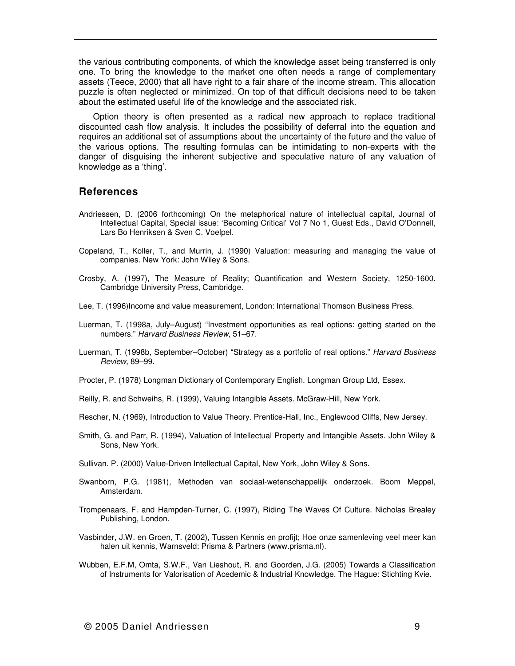the various contributing components, of which the knowledge asset being transferred is only one. To bring the knowledge to the market one often needs a range of complementary assets (Teece, 2000) that all have right to a fair share of the income stream. This allocation puzzle is often neglected or minimized. On top of that difficult decisions need to be taken about the estimated useful life of the knowledge and the associated risk.

Option theory is often presented as a radical new approach to replace traditional discounted cash flow analysis. It includes the possibility of deferral into the equation and requires an additional set of assumptions about the uncertainty of the future and the value of the various options. The resulting formulas can be intimidating to non-experts with the danger of disguising the inherent subjective and speculative nature of any valuation of knowledge as a 'thing'.

### **References**

- Andriessen, D. (2006 forthcoming) On the metaphorical nature of intellectual capital, Journal of Intellectual Capital, Special issue: 'Becoming Critical' Vol 7 No 1, Guest Eds., David O'Donnell, Lars Bo Henriksen & Sven C. Voelpel.
- Copeland, T., Koller, T., and Murrin, J. (1990) Valuation: measuring and managing the value of companies. New York: John Wiley & Sons.
- Crosby, A. (1997), The Measure of Reality; Quantification and Western Society, 1250-1600. Cambridge University Press, Cambridge.
- Lee, T. (1996)Income and value measurement, London: International Thomson Business Press.
- Luerman, T. (1998a, July–August) "Investment opportunities as real options: getting started on the numbers." *Harvard Business Review*, 51–67.
- Luerman, T. (1998b, September–October) "Strategy as a portfolio of real options." *Harvard Business Review*, 89–99.
- Procter, P. (1978) Longman Dictionary of Contemporary English. Longman Group Ltd, Essex.
- Reilly, R. and Schweihs, R. (1999), Valuing Intangible Assets. McGraw-Hill, New York.
- Rescher, N. (1969), Introduction to Value Theory. Prentice-Hall, Inc., Englewood Cliffs, New Jersey.
- Smith, G. and Parr, R. (1994), Valuation of Intellectual Property and Intangible Assets. John Wiley & Sons, New York.
- Sullivan. P. (2000) Value-Driven Intellectual Capital, New York, John Wiley & Sons.
- Swanborn, P.G. (1981), Methoden van sociaal-wetenschappelijk onderzoek. Boom Meppel, Amsterdam.
- Trompenaars, F. and Hampden-Turner, C. (1997), Riding The Waves Of Culture. Nicholas Brealey Publishing, London.
- Vasbinder, J.W. en Groen, T. (2002), Tussen Kennis en profijt; Hoe onze samenleving veel meer kan halen uit kennis, Warnsveld: Prisma & Partners (www.prisma.nl).
- Wubben, E.F.M, Omta, S.W.F., Van Lieshout, R. and Goorden, J.G. (2005) Towards a Classification of Instruments for Valorisation of Acedemic & Industrial Knowledge. The Hague: Stichting Kvie.